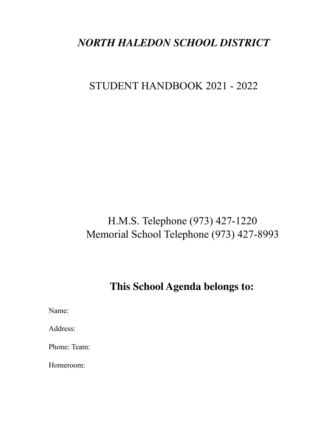# *NORTH HALEDON SCHOOL DISTRICT*

# STUDENT HANDBOOK 2021 - 2022

# H.M.S. Telephone (973) 427-1220 Memorial School Telephone (973) 427-8993

# **This School Agenda belongs to:**

Name:

Address:

Phone: Team:

Homeroom: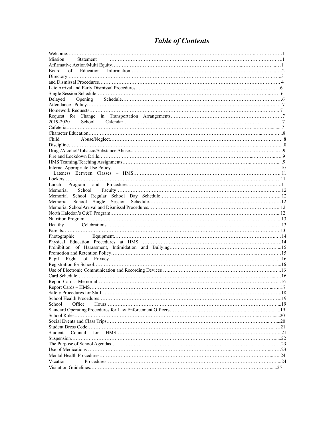# *Table of Contents*

| Mission<br>Statement        |  |
|-----------------------------|--|
|                             |  |
| Board<br>of                 |  |
|                             |  |
|                             |  |
|                             |  |
|                             |  |
| Delayed                     |  |
|                             |  |
|                             |  |
|                             |  |
| 2019-2020                   |  |
|                             |  |
|                             |  |
| Child                       |  |
|                             |  |
|                             |  |
|                             |  |
|                             |  |
|                             |  |
|                             |  |
|                             |  |
|                             |  |
| Memorial                    |  |
|                             |  |
| School<br>Memorial          |  |
|                             |  |
|                             |  |
|                             |  |
| Healthy                     |  |
|                             |  |
|                             |  |
|                             |  |
|                             |  |
|                             |  |
|                             |  |
|                             |  |
|                             |  |
|                             |  |
|                             |  |
|                             |  |
| Safety Procedures for Staff |  |
|                             |  |
| Office<br>School            |  |
|                             |  |
|                             |  |
|                             |  |
| Student<br>Council          |  |
|                             |  |
|                             |  |
|                             |  |
|                             |  |
| Vacation                    |  |
| .25                         |  |
|                             |  |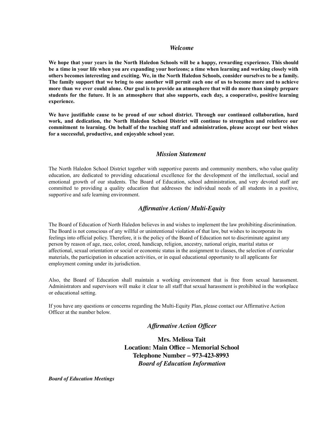#### *Welcome*

We hope that your years in the North Haledon Schools will be a happy, rewarding experience. This should be a time in your life when you are expanding your horizons; a time when learning and working closely with others becomes interesting and exciting. We, in the North Haledon Schools, consider ourselves to be a family. The family support that we bring to one another will permit each one of us to become more and to achieve more than we ever could alone. Our goal is to provide an atmosphere that will do more than simply prepare students for the future. It is an atmosphere that also supports, each day, a cooperative, positive learning **experience.**

**We have justifiable cause to be proud of our school district. Through our continued collaboration, hard work, and dedication, the North Haledon School District will continue to strengthen and reinforce our commitment to learning. On behalf of the teaching staff and administration, please accept our best wishes for a successful, productive, and enjoyable school year.**

#### *Mission Statement*

The North Haledon School District together with supportive parents and community members, who value quality education, are dedicated to providing educational excellence for the development of the intellectual, social and emotional growth of our students. The Board of Education, school administration, and very devoted staff are committed to providing a quality education that addresses the individual needs of all students in a positive, supportive and safe learning environment.

### *Affirmative Action/ Multi-Equity*

The Board of Education of North Haledon believes in and wishes to implement the law prohibiting discrimination. The Board is not conscious of any willful or unintentional violation of that law, but wishes to incorporate its feelings into official policy. Therefore, it is the policy of the Board of Education not to discriminate against any person by reason of age, race, color, creed, handicap, religion, ancestry, national origin, marital status or affectional, sexual orientation or social or economic status in the assignment to classes, the selection of curricular materials, the participation in education activities, or in equal educational opportunity to all applicants for employment coming under its jurisdiction.

Also, the Board of Education shall maintain a working environment that is free from sexual harassment. Administrators and supervisors will make it clear to all staff that sexual harassment is prohibited in the workplace or educational setting.

If you have any questions or concerns regarding the Multi-Equity Plan, please contact our Affirmative Action Officer at the number below.

## *Affirmative Action Officer*

**Mrs. Melissa Tait Location: Main Office – Memorial School Telephone Number – 973-423-8993** *Board of Education Information*

*Board of Education Meetings*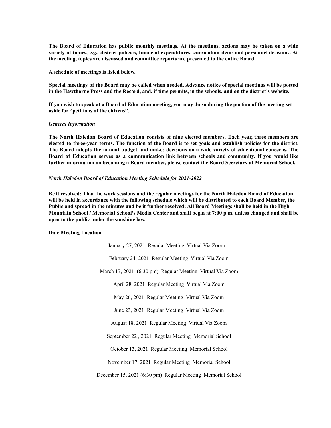The Board of Education has public monthly meetings. At the meetings, actions may be taken on a wide **variety of topics, e.g., district policies, financial expenditures, curriculum items and personnel decisions. At the meeting, topics are discussed and committee reports are presented to the entire Board.**

**A schedule of meetings is listed below.**

Special meetings of the Board may be called when needed. Advance notice of special meetings will be posted in the Hawthorne Press and the Record, and, if time permits, in the schools, and on the district's website.

If you wish to speak at a Board of Education meeting, you may do so during the portion of the meeting set **aside for "petitions of the citizens".**

#### *General Information*

**The North Haledon Board of Education consists of nine elected members. Each year, three members are** elected to three-year terms. The function of the Board is to set goals and establish policies for the district. **The Board adopts the annual budget and makes decisions on a wide variety of educational concerns. The Board of Education serves as a communication link between schools and community. If you would like further information on becoming a Board member, please contact the Board Secretary at Memorial School.**

#### *North Haledon Board of Education Meeting Schedule for 2021-2022*

Be it resolved: That the work sessions and the regular meetings for the North Haledon Board of Education will be held in accordance with the following schedule which will be distributed to each Board Member, the Public and spread in the minutes and be it further resolved: All Board Meetings shall be held in the High Mountain School / Memorial School's Media Center and shall begin at 7:00 p.m. unless changed and shall be **open to the public under the sunshine law.**

#### **Date Meeting Location**

January 27, 2021 Regular Meeting Virtual Via Zoom February 24, 2021 Regular Meeting Virtual Via Zoom March 17, 2021 (6:30 pm) Regular Meeting Virtual Via Zoom April 28, 2021 Regular Meeting Virtual Via Zoom May 26, 2021 Regular Meeting Virtual Via Zoom June 23, 2021 Regular Meeting Virtual Via Zoom August 18, 2021 Regular Meeting Virtual Via Zoom September 22 , 2021 Regular Meeting Memorial School October 13, 2021 Regular Meeting Memorial School November 17, 2021 Regular Meeting Memorial School December 15, 2021 (6:30 pm) Regular Meeting Memorial School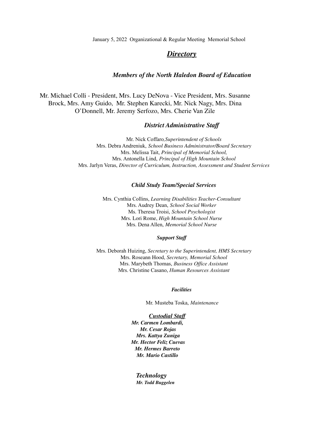January 5, 2022 Organizational & Regular Meeting Memorial School

## *Directory*

#### *Members of the North Haledon Board of Education*

Mr. Michael Colli - President, Mrs. Lucy DeNova - Vice President, Mrs. Susanne Brock, Mrs. Amy Guido, Mr. Stephen Karecki, Mr. Nick Nagy, Mrs. Dina O'Donnell, Mr. Jeremy Serfozo, Mrs. Cherie Van Zile

#### *District Administrative Staff*

Mr. Nick Coffaro*,Superintendent of Schools* Mrs. Debra Andreniuk, *School Business Administrator/Board Secretary* Mrs. Melissa Tait, *Principal of Memorial School,* Mrs. Antonella Lind, *Principal of High Mountain School* Mrs. Jarlyn Veras, *Director of Curriculum, Instruction, Assessment and Student Services*

#### *Child Study Team/Special Services*

Mrs. Cynthia Collins, *Learning Disabilities Teacher-Consultant* Mrs. Audrey Dean, *School Social Worker* Ms. Theresa Troisi, *School Psychologist* Mrs. Lori Rome, *High Mountain School Nurse* Mrs. Dena Allen, *Memorial School Nurse*

#### *Support Staff*

Mrs. Deborah Huizing, *Secretary to the Superintendent, HMS Secretary* Mrs. Roseann Hood, *Secretary, Memorial School* Mrs. Marybeth Thomas, *Business Of ice Assistant* Mrs. Christine Casano, *Human Resources Assistant*

#### *Facilities*

Mr. Musteba Toska, *Maintenance*

*Custodial Staff Mr. Carmen Lombardi, Mr. Cesar Rojas Mrs. Kattya Zuniga Mr. Hector Feliz Cuevas Mr. Hermes Barreto Mr. Mario Castillo*

*Technology Mr. Todd Buggelen*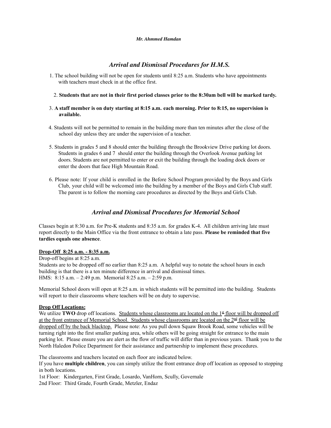#### *Mr. Ahmmed Hamdan*

# *Arrival and Dismissal Procedures for H.M.S.*

1. The school building will not be open for students until 8:25 a.m. Students who have appointments with teachers must check in at the office first.

#### 2. Students that are not in their first period classes prior to the 8:30am bell will be marked tardy.

#### 3. **A staff member is on duty starting at 8:15 a.m. each morning. Prior to 8:15, no supervision is available.**

- 4. Students will not be permitted to remain in the building more than ten minutes after the close of the school day unless they are under the supervision of a teacher.
- 5. Students in grades 5 and 8 should enter the building through the Brookview Drive parking lot doors. Students in grades 6 and 7 should enter the building through the Overlook Avenue parking lot doors. Students are not permitted to enter or exit the building through the loading dock doors or enter the doors that face High Mountain Road.
- 6. Please note: If your child is enrolled in the Before School Program provided by the Boys and Girls Club, your child will be welcomed into the building by a member of the Boys and Girls Club staff. The parent is to follow the morning care procedures as directed by the Boys and Girls Club.

# *Arrival and Dismissal Procedures for Memorial School*

Classes begin at 8:30 a.m. for Pre-K students and 8:35 a.m. for grades K-4. All children arriving late must report directly to the Main Office via the front entrance to obtain a late pass. **Please be reminded that five tardies equals one absence**.

#### **Drop-Off 8:25 a.m. - 8:35 a.m.**

Drop-off begins at 8:25 a.m. Students are to be dropped off no earlier than 8:25 a.m. A helpful way to notate the school hours in each building is that there is a ten minute difference in arrival and dismissal times. HMS: 8:15 a.m. – 2:49 p.m. Memorial 8:25 a.m. – 2:59 p.m.

Memorial School doors will open at 8:25 a.m. in which students will be permitted into the building. Students will report to their classrooms where teachers will be on duty to supervise.

#### **Drop Off Locations:**

We utilize **TWO** drop off locations. Students whose classrooms are located on the  $1<sup>st</sup>$  floor will be dropped off at the front entrance of Memorial School. Students whose classrooms are located on the 2<sup>nd</sup> floor will be dropped off by the back blacktop. Please note: As you pull down Squaw Brook Road, some vehicles will be turning right into the first smaller parking area, while others will be going straight for entrance to the main parking lot. Please ensure you are alert as the flow of traffic will differ than in previous years. Thank you to the North Haledon Police Department for their assistance and partnership to implement these procedures.

The classrooms and teachers located on each floor are indicated below.

If you have **multiple children**, you can simply utilize the front entrance drop off location as opposed to stopping in both locations.

1st Floor: Kindergarten, First Grade, Losardo, VanHorn, Scully, Governale 2nd Floor: Third Grade, Fourth Grade, Metzler, Endaz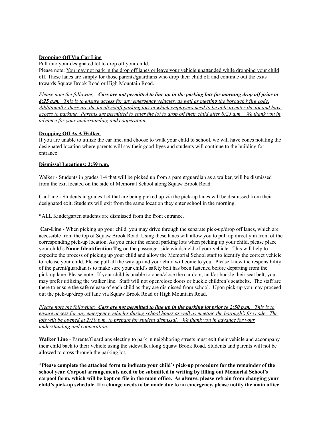#### **Dropping Off Via Car Line**

Pull into your designated lot to drop off your child.

Please note: You may not park in the drop off lanes or leave your vehicle unattended while dropping your child off. These lanes are simply for those parents/guardians who drop their child off and continue out the exits towards Squaw Brook Road or High Mountain Road.

Please note the following: Cars are not permitted to line up in the parking lots for morning drop off prior to 8:25 a.m. This is to ensure access for any emergency vehicles, as well as meeting the borough's fire code. Additionally, these are the faculty/staff parking lots in which employees need to be able to enter the lot and have access to parking. Parents are permitted to enter the lot to drop off their child after 8:25 a.m. We thank you in *advance for your understanding and cooperation.*

### **Dropping Off As A Walker**

If you are unable to utilize the car line, and choose to walk your child to school, we will have cones notating the designated location where parents will say their good-byes and students will continue to the building for entrance.

### **Dismissal Locations: 2:59 p.m.**

Walker - Students in grades 1-4 that will be picked up from a parent/guardian as a walker, will be dismissed from the exit located on the side of Memorial School along Squaw Brook Road.

Car Line - Students in grades 1-4 that are being picked up via the pick-up lanes will be dismissed from their designated exit. Students will exit from the same location they enter school in the morning.

\*ALL Kindergarten students are dismissed from the front entrance.

**Car-Line** - When picking up your child, you may drive through the separate pick-up/drop off lanes, which are accessible from the top of Squaw Brook Road. Using these lanes will allow you to pull up directly in front of the corresponding pick-up location. As you enter the school parking lots when picking up your child, please place your child's **Name Identification Tag** on the passenger side windshield of your vehicle. This will help to expedite the process of picking up your child and allow the Memorial School staff to identify the correct vehicle to release your child. Please pull all the way up and your child will come to you. Please know the responsibility of the parent/guardian is to make sure your child's safety belt has been fastened before departing from the pick-up lane. Please note: If your child is unable to open/close the car door, and/or buckle their seat belt, you may prefer utilizing the walker line. Staff will not open/close doors or buckle children's seatbelts. The staff are there to ensure the safe release of each child as they are dismissed from school. Upon pick-up you may proceed out the pick-up/drop off lane via Squaw Brook Road or High Mountain Road.

Please note the following: Cars are not permitted to line up in the parking lot prior to 2:50 p.m. This is to ensure access for any emergency vehicles during school hours as well as meeting the borough's fire code. The lots will be opened at  $2:50$  p.m. to prepare for student dismissal. We thank you in advance for your *understanding and cooperation.*

**Walker Line** - Parents/Guardians electing to park in neighboring streets must exit their vehicle and accompany their child back to their vehicle using the sidewalk along Squaw Brook Road. Students and parents will not be allowed to cross through the parking lot.

**\*Please complete the attached form to indicate your child's pick-up procedure for the remainder of the school year. Carpool arrangements need to be submitted in writing by filling out Memorial School's** carpool form, which will be kept on file in the main office. As always, please refrain from changing your child's pick-up schedule. If a change needs to be made due to an emergency, please notify the main office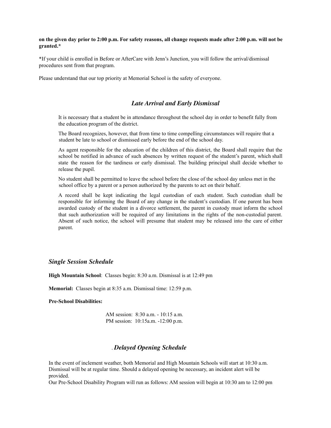#### on the given day prior to 2:00 p.m. For safety reasons, all change requests made after 2:00 p.m. will not be **granted.\***

\*If your child is enrolled in Before or AfterCare with Jenn's Junction, you will follow the arrival/dismissal procedures sent from that program.

Please understand that our top priority at Memorial School is the safety of everyone.

#### *Late Arrival and Early Dismissal*

It is necessary that a student be in attendance throughout the school day in order to benefit fully from the education program of the district.

The Board recognizes, however, that from time to time compelling circumstances will require that a student be late to school or dismissed early before the end of the school day.

As agent responsible for the education of the children of this district, the Board shall require that the school be notified in advance of such absences by written request of the student's parent, which shall state the reason for the tardiness or early dismissal. The building principal shall decide whether to release the pupil.

No student shall be permitted to leave the school before the close of the school day unless met in the school office by a parent or a person authorized by the parents to act on their behalf.

A record shall be kept indicating the legal custodian of each student. Such custodian shall be responsible for informing the Board of any change in the student's custodian. If one parent has been awarded custody of the student in a divorce settlement, the parent in custody must inform the school that such authorization will be required of any limitations in the rights of the non-custodial parent. Absent of such notice, the school will presume that student may be released into the care of either parent.

#### *Single Session Schedule*

**High Mountain School**: Classes begin: 8:30 a.m. Dismissal is at 12:49 pm

**Memorial:** Classes begin at 8:35 a.m. Dismissal time: 12:59 p.m.

#### **Pre-School Disabilities:**

AM session: 8:30 a.m. - 10:15 a.m. PM session: 10:15a.m. -12:00 p.m.

## . *Delayed Opening Schedule*

In the event of inclement weather, both Memorial and High Mountain Schools will start at 10:30 a.m. Dismissal will be at regular time. Should a delayed opening be necessary, an incident alert will be provided.

Our Pre-School Disability Program will run as follows: AM session will begin at 10:30 am to 12:00 pm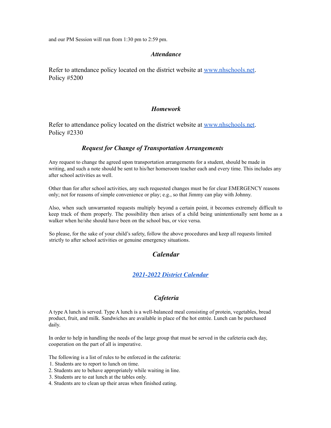and our PM Session will run from 1:30 pm to 2:59 pm.

### *Attendance*

Refer to attendance policy located on the district website at www.nhschools.net. Policy #5200

## *Homework*

Refer to attendance policy located on the district website at www.nhschools.net. Policy #2330

## *Request for Change of Transportation Arrangements*

Any request to change the agreed upon transportation arrangements for a student, should be made in writing, and such a note should be sent to his/her homeroom teacher each and every time. This includes any after school activities as well.

Other than for after school activities, any such requested changes must be for clear EMERGENCY reasons only; not for reasons of simple convenience or play; e.g., so that Jimmy can play with Johnny.

Also, when such unwarranted requests multiply beyond a certain point, it becomes extremely difficult to keep track of them properly. The possibility then arises of a child being unintentionally sent home as a walker when he/she should have been on the school bus, or vice versa.

So please, for the sake of your child's safety, follow the above procedures and keep all requests limited strictly to after school activities or genuine emergency situations.

# *Calendar*

# *[2021-2022](https://www.nhschools.net/nh/Calendars/21-22%20Calendar.pdf?1629296622) District Calendar*

## *Cafeteria*

A type A lunch is served. Type A lunch is a well-balanced meal consisting of protein, vegetables, bread product, fruit, and milk. Sandwiches are available in place of the hot entrée. Lunch can be purchased daily.

In order to help in handling the needs of the large group that must be served in the cafeteria each day, cooperation on the part of all is imperative.

The following is a list of rules to be enforced in the cafeteria:

- 1. Students are to report to lunch on time.
- 2. Students are to behave appropriately while waiting in line.
- 3. Students are to eat lunch at the tables only.
- 4. Students are to clean up their areas when finished eating.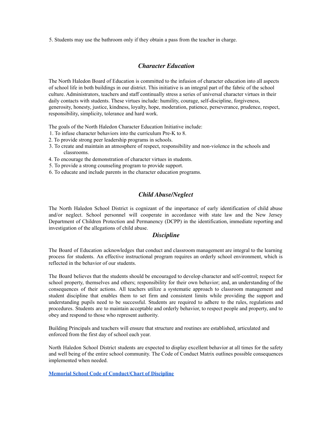5. Students may use the bathroom only if they obtain a pass from the teacher in charge.

## *Character Education*

The North Haledon Board of Education is committed to the infusion of character education into all aspects of school life in both buildings in our district. This initiative is an integral part of the fabric of the school culture. Administrators, teachers and staff continually stress a series of universal character virtues in their daily contacts with students. These virtues include: humility, courage, self-discipline, forgiveness, generosity, honesty, justice, kindness, loyalty, hope, moderation, patience, perseverance, prudence, respect, responsibility, simplicity, tolerance and hard work.

The goals of the North Haledon Character Education Initiative include:

- 1. To infuse character behaviors into the curriculum Pre-K to 8.
- 2. To provide strong peer leadership programs in schools.
- 3. To create and maintain an atmosphere of respect, responsibility and non-violence in the schools and classrooms.
- 4. To encourage the demonstration of character virtues in students.
- 5. To provide a strong counseling program to provide support.
- 6. To educate and include parents in the character education programs.

# *Child Abuse/Neglect*

The North Haledon School District is cognizant of the importance of early identification of child abuse and/or neglect. School personnel will cooperate in accordance with state law and the New Jersey Department of Children Protection and Permanency (DCPP) in the identification, immediate reporting and investigation of the allegations of child abuse.

## *Discipline*

The Board of Education acknowledges that conduct and classroom management are integral to the learning process for students. An effective instructional program requires an orderly school environment, which is reflected in the behavior of our students.

The Board believes that the students should be encouraged to develop character and self-control; respect for school property, themselves and others; responsibility for their own behavior; and, an understanding of the consequences of their actions. All teachers utilize a systematic approach to classroom management and student discipline that enables them to set firm and consistent limits while providing the support and understanding pupils need to be successful. Students are required to adhere to the rules, regulations and procedures. Students are to maintain acceptable and orderly behavior, to respect people and property, and to obey and respond to those who represent authority.

Building Principals and teachers will ensure that structure and routines are established, articulated and enforced from the first day of school each year.

North Haledon School District students are expected to display excellent behavior at all times for the safety and well being of the entire school community. The Code of Conduct Matrix outlines possible consequences implemented when needed.

**Memorial School Code of [Conduct/Chart](https://www.nhschools.net/nh/Parents/Chart%20of%20Student%20Discipline/Memorial%20Elementary%20School%20Chart%20of%20Student%20Discipline.pdf?1629296863) of Discipline**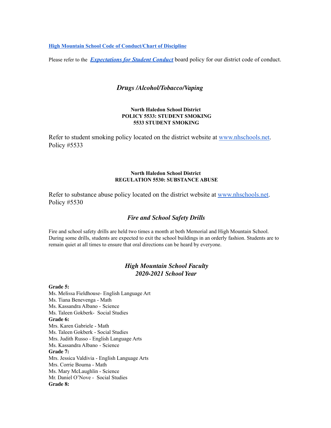**High Mountain School Code of [Conduct/Chart](https://www.nhschools.net/nh/Parents/Chart%20of%20Student%20Discipline/High%20Mountain%20School%20Chart%20of%20Student%20Discipline.pdf?1629296863) of Discipline**

Please refer to the *[Expectations](https://www.nhschools.net/nh/Board/Board%20Policies/Series%205000%20-%20Students/5500%20REGULATION-%20Expectations%20for%20Student%20Conduct.pdf?1619027417) for Student Conduct* board policy for our district code of conduct.

## *Drugs /Alcohol/Tobacco/Vaping*

#### **North Haledon School District POLICY 5533: STUDENT SMOKING 5533 STUDENT SMOKING**

Refer to student smoking policy located on the district website at www.nhschools.net. Policy #5533

#### **North Haledon School District REGULATION 5530: SUBSTANCE ABUSE**

Refer to substance abuse policy located on the district website at www.nhschools.net. Policy #5530

## *Fire and School Safety Drills*

Fire and school safety drills are held two times a month at both Memorial and High Mountain School. During some drills, students are expected to exit the school buildings in an orderly fashion. Students are to remain quiet at all times to ensure that oral directions can be heard by everyone.

# *High Mountain School Faculty 2020-2021 School Year*

#### **Grade 5:**

Ms. Melissa Fieldhouse- English Language Art Ms. Tiana Benevenga - Math Ms. Kassandra Albano - Science Ms. Taleen Gokberk- Social Studies **Grade 6:** Mrs. Karen Gabriele - Math Ms. Taleen Gokberk - Social Studies Mrs. Judith Russo - English Language Arts Ms. Kassandra Albano - Science **Grade 7:** Mrs. Jessica Valdivia - English Language Arts Mrs. Corrie Bouma - Math Ms. Mary McLaughlin - Science Mr. Daniel O'Nove - Social Studies **Grade 8:**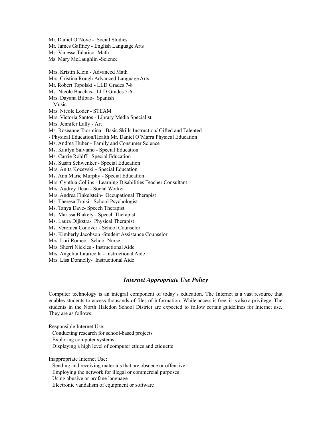Mr. Daniel O'Nove - Social Studies Mr. James Gaffney - English Language Arts Ms. Vanessa Talarico- Math Ms. Mary McLaughlin -Science Mrs. Kristin Klein - Advanced Math Mrs. Cristina Rough Advanced Language Arts Mr. Robert Topolski - LLD Grades 7-8 Ms. Nicole Bacchas- LLD Grades 5-6 Mrs. Dayana Bilbao- Spanish - Music Mrs. Nicole Loder - STEAM Mrs. Victoria Santos - Library Media Specialist Mrs. Jennifer Lally - Art Ms. Roseanne Taormina - Basic Skills Instruction/ Gifted and Talented - Physical Education/Health Mr. Daniel O'Marra Physical Education Ms. Andrea Huber - Family and Consumer Science Ms. Kaitlyn Salviano - Special Education Ms. Carrie Rohlff - Special Education Ms. Susan Schwenker - Special Education Mrs. Anita Kocevski - Special Education Ms. Ann Marie Murphy - Special Education Mrs. Cynthia Collins - Learning Disabilities Teacher Consultant Mrs. Audrey Dean - Social Worker Mrs. Andrea Finkelstein- Occupational Therapist Ms. Theresa Troisi - School Psychologist Ms. Tanya Dave- Speech Therapist Ms. Marissa Blakely - Speech Therapist Ms. Laura Dijkstra- Physical Therapist Ms. Veronica Conover - School Counselor Ms. Kimberly Jacobson -Student Assistance Counselor Mrs. Lori Romeo - School Nurse Mrs. Sherri Nickles - Instructional Aide Mrs. Angelita Lauricella - Instructional Aide Mrs. Lisa Donnelly- Instructional Aide

## *Internet Appropriate Use Policy*

Computer technology is an integral component of today's education. The Internet is a vast resource that enables students to access thousands of files of information. While access is free, it is also a privilege. The students in the North Haledon School District are expected to follow certain guidelines for Internet use. They are as follows:

Responsible Internet Use:

- · Conducting research for school-based projects
- · Exploring computer systems
- · Displaying a high level of computer ethics and etiquette

Inappropriate Internet Use:

- · Sending and receiving materials that are obscene or offensive
- · Employing the network for illegal or commercial purposes
- · Using abusive or profane language
- · Electronic vandalism of equipment or software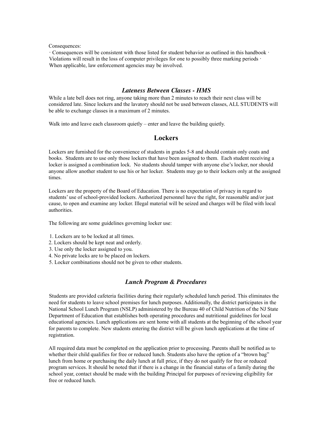Consequences:

· Consequences will be consistent with those listed for student behavior as outlined in this handbook · Violations will result in the loss of computer privileges for one to possibly three marking periods  $\cdot$ When applicable, law enforcement agencies may be involved.

## *Lateness Between Classes - HMS*

While a late bell does not ring, anyone taking more than 2 minutes to reach their next class will be considered late. Since lockers and the lavatory should not be used between classes, ALL STUDENTS will be able to exchange classes in a maximum of 2 minutes.

Walk into and leave each classroom quietly – enter and leave the building quietly.

## **Lockers**

Lockers are furnished for the convenience of students in grades 5-8 and should contain only coats and books. Students are to use only those lockers that have been assigned to them. Each student receiving a locker is assigned a combination lock. No students should tamper with anyone else's locker, nor should anyone allow another student to use his or her locker. Students may go to their lockers only at the assigned times.

Lockers are the property of the Board of Education. There is no expectation of privacy in regard to students' use of school-provided lockers. Authorized personnel have the right, for reasonable and/or just cause, to open and examine any locker. Illegal material will be seized and charges will be filed with local authorities.

The following are some guidelines governing locker use:

- 1. Lockers are to be locked at all times.
- 2. Lockers should be kept neat and orderly.
- 3. Use only the locker assigned to you.
- 4. No private locks are to be placed on lockers.
- 5. Locker combinations should not be given to other students.

#### *Lunch Program & Procedures*

Students are provided cafeteria facilities during their regularly scheduled lunch period. This eliminates the need for students to leave school premises for lunch purposes. Additionally, the district participates in the National School Lunch Program (NSLP) administered by the Bureau 40 of Child Nutrition of the NJ State Department of Education that establishes both operating procedures and nutritional guidelines for local educational agencies. Lunch applications are sent home with all students at the beginning of the school year for parents to complete. New students entering the district will be given lunch applications at the time of registration.

All required data must be completed on the application prior to processing. Parents shall be notified as to whether their child qualifies for free or reduced lunch. Students also have the option of a "brown bag" lunch from home or purchasing the daily lunch at full price, if they do not qualify for free or reduced program services. It should be noted that if there is a change in the financial status of a family during the school year, contact should be made with the building Principal for purposes of reviewing eligibility for free or reduced lunch.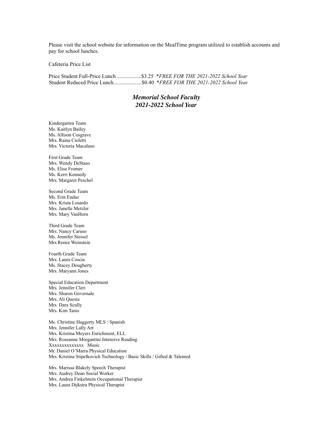Please visit the school website for information on the MealTime program utilized to establish accounts and pay for school lunches.

Cafeteria Price List

Price Student Full-Price Lunch ..................\$3.25 \**FREE FOR THE 2021-2022 School Year* Student Reduced Price Lunch.....................\$0.40 \**FREE FOR THE 2021-2022 School Year*

## *Memorial School Faculty 2021-2022 School Year*

Kindergarten Team Ms. Kaitlyn Bailey Ms. Allison Cosgrave Mrs. Raina Cioletti Mrs. Victoria Macaluso

First Grade Team Mrs. Wendy DeStaso Ms. Elise Fromer Ms. Kerri Kennedy Mrs. Margaret Peschel

Second Grade Team Ms. Erin Endaz Mrs. Krista Losardo Mrs. Janelle Metzler Mrs. Mary VanHorn

Third Grade Team Mrs. Nancy Caruso Ms. Jennifer Stessel Mrs.Renee Weinstein

Fourth Grade Team Mrs. Laura Coscia Ms. Stacey Dougherty Mrs. Maryann Jones

Special Education Department Mrs. Jennifer Cleri Mrs. Sharon Governale Mrs. Ali Questa Mrs. Dara Scully Mrs. Kim Tanis

Ms. Christine Haggerty MLS / Spanish Mrs. Jennifer Lally Art Mrs. Kristina Meyers Enrichment, ELL Mrs. Roseanne Morgantini Intensive Reading Xxxxxxxxxxxxxx Music Mr. Daniel O'Marra Physical Education Mrs. Kristina Stipelkovich Technology / Basic Skills / Gifted & Talented

Mrs. Marissa Blakely Speech Therapist Mrs. Audrey Dean Social Worker Mrs. Andrea Finkelstein Occupational Therapist Mrs. Laura Dijkstra Physical Therapist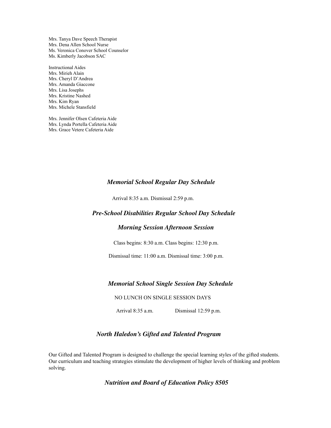Mrs. Tanya Dave Speech Therapist Mrs. Dena Allen School Nurse Ms. Veronica Conover School Counselor Ms. Kimberly Jacobson SAC

Instructional Aides Mrs. Mirieh Alain Mrs. Cheryl D'Andrea Mrs. Amanda Giaccone Mrs. Lisa Josephs Mrs. Kristine Nashed Mrs. Kim Ryan Mrs. Michele Stansfield

Mrs. Jennifer Olsen Cafeteria Aide Mrs. Lynda Portella Cafeteria Aide Mrs. Grace Vetere Cafeteria Aide

### *Memorial School Regular Day Schedule*

Arrival 8:35 a.m. Dismissal 2:59 p.m.

## *Pre-School Disabilities Regular School Day Schedule*

## *Morning Session Afternoon Session*

Class begins: 8:30 a.m. Class begins: 12:30 p.m.

Dismissal time: 11:00 a.m. Dismissal time: 3:00 p.m.

### *Memorial School Single Session Day Schedule*

NO LUNCH ON SINGLE SESSION DAYS

Arrival 8:35 a.m. Dismissal 12:59 p.m.

## *North Haledon's Gifted and Talented Program*

Our Gifted and Talented Program is designed to challenge the special learning styles of the gifted students. Our curriculum and teaching strategies stimulate the development of higher levels of thinking and problem solving.

*Nutrition and Board of Education Policy 8505*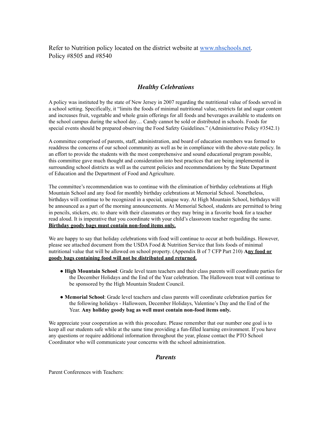Refer to Nutrition policy located on the district website at www.nhschools.net. Policy #8505 and #8540

## *Healthy Celebrations*

A policy was instituted by the state of New Jersey in 2007 regarding the nutritional value of foods served in a school setting. Specifically, it "limits the foods of minimal nutritional value, restricts fat and sugar content and increases fruit, vegetable and whole grain offerings for all foods and beverages available to students on the school campus during the school day… Candy cannot be sold or distributed in schools. Foods for special events should be prepared observing the Food Safety Guidelines." (Administrative Policy #3542.1)

A committee comprised of parents, staff, administration, and board of education members was formed to readdress the concerns of our school community as well as be in compliance with the above-state policy. In an effort to provide the students with the most comprehensive and sound educational program possible, this committee gave much thought and consideration into best practices that are being implemented in surrounding school districts as well as the current policies and recommendations by the State Department of Education and the Department of Food and Agriculture.

The committee's recommendation was to continue with the elimination of birthday celebrations at High Mountain School and any food for monthly birthday celebrations at Memorial School. Nonetheless, birthdays will continue to be recognized in a special, unique way. At High Mountain School, birthdays will be announced as a part of the morning announcements. At Memorial School, students are permitted to bring in pencils, stickers, etc. to share with their classmates or they may bring in a favorite book for a teacher read aloud. It is imperative that you coordinate with your child's classroom teacher regarding the same. **Birthday goody bags must contain non-food items only.**

We are happy to say that holiday celebrations with food will continue to occur at both buildings. However, please see attached document from the USDA Food & Nutrition Service that lists foods of minimal nutritional value that will be allowed on school property. (Appendix B of 7 CFP Part 210) **Any food or goody bags containing food will not be distributed and returned.**

- **High Mountain School**: Grade level team teachers and their class parents will coordinate parties for the December Holidays and the End of the Year celebration. The Halloween treat will continue to be sponsored by the High Mountain Student Council.
- **Memorial School**: Grade level teachers and class parents will coordinate celebration parties for the following holidays - Halloween, December Holidays, Valentine's Day and the End of the Year. **Any holiday goody bag as well must contain non-food items only.**

We appreciate your cooperation as with this procedure. Please remember that our number one goal is to keep all our students safe while at the same time providing a fun-filled learning environment. If you have any questions or require additional information throughout the year, please contact the PTO School Coordinator who will communicate your concerns with the school administration.

### *Parents*

Parent Conferences with Teachers: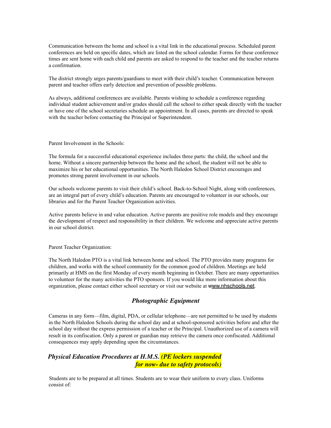Communication between the home and school is a vital link in the educational process. Scheduled parent conferences are held on specific dates, which are listed on the school calendar. Forms for these conference times are sent home with each child and parents are asked to respond to the teacher and the teacher returns a confirmation.

The district strongly urges parents/guardians to meet with their child's teacher. Communication between parent and teacher offers early detection and prevention of possible problems.

As always, additional conferences are available. Parents wishing to schedule a conference regarding individual student achievement and/or grades should call the school to either speak directly with the teacher or have one of the school secretaries schedule an appointment. In all cases, parents are directed to speak with the teacher before contacting the Principal or Superintendent.

Parent Involvement in the Schools:

The formula for a successful educational experience includes three parts: the child, the school and the home. Without a sincere partnership between the home and the school, the student will not be able to maximize his or her educational opportunities. The North Haledon School District encourages and promotes strong parent involvement in our schools.

Our schools welcome parents to visit their child's school. Back-to-School Night, along with conferences, are an integral part of every child's education. Parents are encouraged to volunteer in our schools, our libraries and for the Parent Teacher Organization activities.

Active parents believe in and value education. Active parents are positive role models and they encourage the development of respect and responsibility in their children. We welcome and appreciate active parents in our school district.

Parent Teacher Organization:

The North Haledon PTO is a vital link between home and school. The PTO provides many programs for children, and works with the school community for the common good of children. Meetings are held primarily at HMS on the first Monday of every month beginning in October. There are many opportunities to volunteer for the many activities the PTO sponsors. If you would like more information about this organization, please contact either school secretary or visit our website at www.nhschools.net.

# *Photographic Equipment*

Cameras in any form—film, digital, PDA, or cellular telephone—are not permitted to be used by students in the North Haledon Schools during the school day and at school-sponsored activities before and after the school day without the express permission of a teacher or the Principal. Unauthorized use of a camera will result in its confiscation. Only a parent or guardian may retrieve the camera once confiscated. Additional consequences may apply depending upon the circumstances.

# *Physical Education Procedures at H.M.S. (PE lockers suspended for now- due to safety protocols)*

Students are to be prepared at all times. Students are to wear their uniform to every class. Uniforms consist of: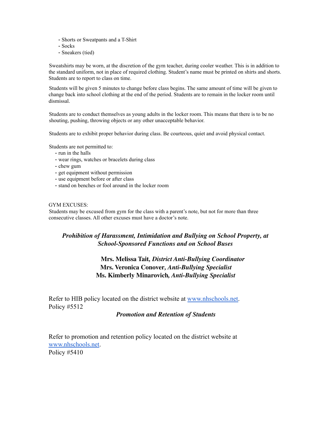- Shorts or Sweatpants and a T-Shirt
- Socks
- Sneakers (tied)

Sweatshirts may be worn, at the discretion of the gym teacher, during cooler weather. This is in addition to the standard uniform, not in place of required clothing. Student's name must be printed on shirts and shorts. Students are to report to class on time.

Students will be given 5 minutes to change before class begins. The same amount of time will be given to change back into school clothing at the end of the period. Students are to remain in the locker room until dismissal.

Students are to conduct themselves as young adults in the locker room. This means that there is to be no shouting, pushing, throwing objects or any other unacceptable behavior.

Students are to exhibit proper behavior during class. Be courteous, quiet and avoid physical contact.

Students are not permitted to:

- run in the halls
- wear rings, watches or bracelets during class
- chew gum
- get equipment without permission
- use equipment before or after class
- stand on benches or fool around in the locker room

#### GYM EXCUSES:

Students may be excused from gym for the class with a parent's note, but not for more than three consecutive classes. All other excuses must have a doctor's note.

# *Prohibition of Harassment, Intimidation and Bullying on School Property, at School-Sponsored Functions and on School Buses*

# **Mrs. Melissa Tait***, District Anti-Bullying Coordinator* **Mrs. Veronica Conover***, Anti-Bullying Specialist* **Ms. Kimberly Minarovich***, Anti-Bullying Specialist*

Refer to HIB policy located on the district website at www.nhschools.net. Policy #5512

## *Promotion and Retention of Students*

Refer to promotion and retention policy located on the district website at www.nhschools.net. Policy #5410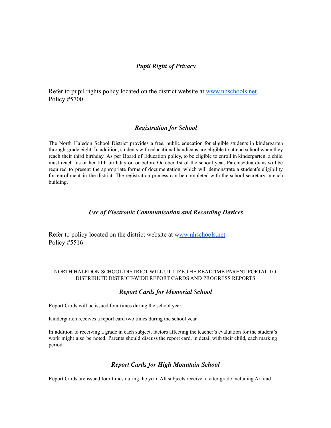# *Pupil Right of Privacy*

Refer to pupil rights policy located on the district website at www.nhschools.net. Policy #5700

# *Registration for School*

The North Haledon School District provides a free, public education for eligible students in kindergarten through grade eight. In addition, students with educational handicaps are eligible to attend school when they reach their third birthday. As per Board of Education policy, to be eligible to enroll in kindergarten, a child must reach his or her fifth birthday on or before October 1st of the school year. Parents/Guardians will be required to present the appropriate forms of documentation, which will demonstrate a student's eligibility for enrollment in the district. The registration process can be completed with the school secretary in each building.

# *Use of Electronic Communication and Recording Devices*

Refer to policy located on the district website at www.nhschools.net. Policy #5516

## NORTH HALEDON SCHOOL DISTRICT WILL UTILIZE THE REALTIME PARENT PORTAL TO DISTRIBUTE DISTRICT-WIDE REPORT CARDS AND PROGRESS REPORTS

# *Report Cards for Memorial School*

Report Cards will be issued four times during the school year.

Kindergarten receives a report card two times during the school year.

In addition to receiving a grade in each subject, factors affecting the teacher's evaluation for the student's work might also be noted. Parents should discuss the report card, in detail with their child, each marking period.

# *Report Cards for High Mountain School*

Report Cards are issued four times during the year. All subjects receive a letter grade including Art and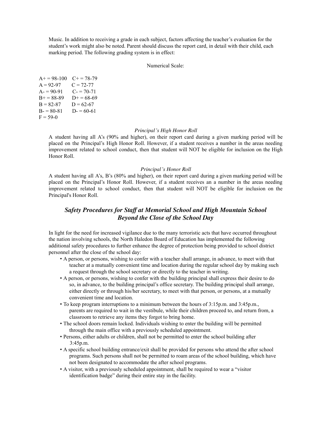Music. In addition to receiving a grade in each subject, factors affecting the teacher's evaluation for the student's work might also be noted. Parent should discuss the report card, in detail with their child, each marking period. The following grading system is in effect:

#### Numerical Scale:

 $A+= 98-100$   $C+= 78-79$  $A = 92-97$   $C = 72-77$  $A = 90-91$   $C = 70-71$  $B+= 88-89$   $D+= 68-69$  $B = 82-87$   $D = 62-67$  $B = 80-81$  D $= 60-61$  $F = 59-0$ 

#### *Principal's High Honor Roll*

A student having all A's (90% and higher), on their report card during a given marking period will be placed on the Principal's High Honor Roll. However, if a student receives a number in the areas needing improvement related to school conduct, then that student will NOT be eligible for inclusion on the High Honor Roll.

#### *Principal's Honor Roll*

A student having all A's, B's (80% and higher), on their report card during a given marking period will be placed on the Principal's Honor Roll. However, if a student receives an a number in the areas needing improvement related to school conduct, then that student will NOT be eligible for inclusion on the Principal's Honor Roll.

## *Safety Procedures for Staff at Memorial School and High Mountain School Beyond the Close of the School Day*

In light for the need for increased vigilance due to the many terroristic acts that have occurred throughout the nation involving schools, the North Haledon Board of Education has implemented the following additional safety procedures to further enhance the degree of protection being provided to school district personnel after the close of the school day:

- A person, or persons, wishing to confer with a teacher shall arrange, in advance, to meet with that teacher at a mutually convenient time and location during the regular school day by making such a request through the school secretary or directly to the teacher in writing.
- A person, or persons, wishing to confer with the building principal shall express their desire to do so, in advance, to the building principal's office secretary. The building principal shall arrange, either directly or through his/her secretary, to meet with that person, or persons, at a mutually convenient time and location.
- To keep program interruptions to a minimum between the hours of 3:15p.m. and 3:45p.m., parents are required to wait in the vestibule, while their children proceed to, and return from, a classroom to retrieve any items they forgot to bring home.
- The school doors remain locked. Individuals wishing to enter the building will be permitted through the main office with a previously scheduled appointment.
- Persons, either adults or children, shall not be permitted to enter the school building after 3:45p.m.
- A specific school building entrance/exit shall be provided for persons who attend the after school programs. Such persons shall not be permitted to roam areas of the school building, which have not been designated to accommodate the after school programs.
- A visitor, with a previously scheduled appointment, shall be required to wear a "visitor identification badge" during their entire stay in the facility.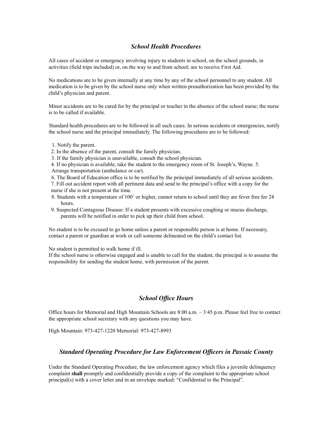## *School Health Procedures*

All cases of accident or emergency involving injury to students in school, on the school grounds, in activities (field trips included) or, on the way to and from school; are to receive First Aid.

No medications are to be given internally at any time by any of the school personnel to any student. All medication is to be given by the school nurse only when written preauthorization has been provided by the child's physician and parent.

Minor accidents are to be cared for by the principal or teacher in the absence of the school nurse; the nurse is to be called if available.

Standard health procedures are to be followed in all such cases. In serious accidents or emergencies, notify the school nurse and the principal immediately. The following procedures are to be followed:

- 1. Notify the parent.
- 2. In the absence of the parent, consult the family physician.
- 3. If the family physician is unavailable, consult the school physician.

4. If no physician is available, take the student to the emergency room of St. Joseph's, Wayne. 5. Arrange transportation (ambulance or car).

- 6. The Board of Education office is to be notified by the principal immediately of all serious accidents.
- 7. Fill out accident report with all pertinent data and send to the principal's office with a copy for the nurse if she is not present at the time.
- 8. Students with a temperature of 100˚ or higher, cannot return to school until they are fever free for 24 hours.
- 9. Suspected Contagious Disease: If a student presents with excessive coughing or mucus discharge, parents will be notified in order to pick up their child from school.

No student is to be excused to go home unless a parent or responsible person is at home. If necessary, contact a parent or guardian at work or call someone delineated on the child's contact list.

No student is permitted to walk home if ill.

If the school nurse is otherwise engaged and is unable to call for the student, the principal is to assume the responsibility for sending the student home, with permission of the parent.

## *School Office Hours*

Office hours for Memorial and High Mountain Schools are 8:00 a.m. – 3:45 p.m. Please feel free to contact the appropriate school secretary with any questions you may have.

High Mountain: 973-427-1220 Memorial: 973-427-8993

## *Standard Operating Procedure for Law Enforcement Officers in Passaic County*

Under the Standard Operating Procedure, the law enforcement agency which files a juvenile delinquency complaint **shall** promptly and confidentially provide a copy of the complaint to the appropriate school principal(s) with a cover letter and in an envelope marked: "Confidential to the Principal".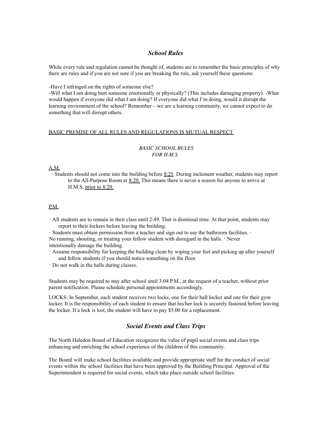## *School Rules*

While every rule and regulation cannot be thought of, students are to remember the basic principles of why there are rules and if you are not sure if you are breaking the rule, ask yourself these questions:

-Have I infringed on the rights of someone else?

-Will what I am doing hurt someone emotionally or physically? (This includes damaging property). -What would happen if everyone did what I am doing? If everyone did what I'm doing, would it disrupt the learning environment of the school? Remember—we are a learning community, we cannot expect to do something that will disrupt others.

#### BASIC PREMISE OF ALL RULES AND REGULATIONS IS MUTUAL RESPECT

#### *BASIC SCHOOL RULES FOR H.M.S.*

#### A.M.

· Students should not come into the building before 8:25. During inclement weather, students may report to the All-Purpose Room at  $8:20$ . This means there is never a reason for anyone to arrive at H.M.S. prior to 8:20.

#### P.M.

· All students are to remain in their class until 2:49. That is dismissal time. At that point, students may report to their lockers before leaving the building.

· Students must obtain permission from a teacher and sign out to use the bathroom facilities. · No running, shouting, or treating your fellow student with disregard in the halls. · Never intentionally damage the building.

· Assume responsibility for keeping the building clean by wiping your feet and picking up after yourself and fellow students if you should notice something on the floor.

· Do not walk in the halls during classes.

Students may be required to stay after school until 3:04 P.M., at the request of a teacher, without prior parent notification. Please schedule personal appointments accordingly.

LOCKS: In September, each student receives two locks, one for their hall locker and one for their gym locker. It is the responsibility of each student to ensure that his/her lock is securely fastened before leaving the locker. If a lock is lost, the student will have to pay \$5.00 for a replacement.

## *Social Events and Class Trips*

The North Haledon Board of Education recognizes the value of pupil social events and class trips enhancing and enriching the school experience of the children of this community.

The Board will make school facilities available and provide appropriate staff for the conduct of social events within the school facilities that have been approved by the Building Principal. Approval of the Superintendent is required for social events, which take place outside school facilities.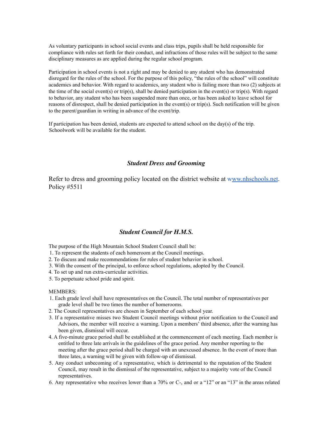As voluntary participants in school social events and class trips, pupils shall be held responsible for compliance with rules set forth for their conduct, and infractions of those rules will be subject to the same disciplinary measures as are applied during the regular school program.

Participation in school events is not a right and may be denied to any student who has demonstrated disregard for the rules of the school. For the purpose of this policy, "the rules of the school" will constitute academics and behavior. With regard to academics, any student who is failing more than two (2) subjects at the time of the social event(s) or trip(s), shall be denied participation in the event(s) or trip(s). With regard to behavior, any student who has been suspended more than once, or has been asked to leave school for reasons of disrespect, shall be denied participation in the event(s) or trip(s). Such notification will be given to the parent/guardian in writing in advance of the event/trip.

If participation has been denied, students are expected to attend school on the day(s) of the trip. Schoolwork will be available for the student.

## *Student Dress and Grooming*

Refer to dress and grooming policy located on the district website at www.nhschools.net. Policy #5511

## *Student Council for H.M.S.*

The purpose of the High Mountain School Student Council shall be:

- 1. To represent the students of each homeroom at the Council meetings.
- 2. To discuss and make recommendations for rules of student behavior in school.
- 3. With the consent of the principal, to enforce school regulations, adopted by the Council.
- 4. To set up and run extra-curricular activities.
- 5. To perpetuate school pride and spirit.

#### MEMBERS:

- 1. Each grade level shall have representatives on the Council. The total number of representatives per grade level shall be two times the number of homerooms.
- 2. The Council representatives are chosen in September of each school year.
- 3. If a representative misses two Student Council meetings without prior notification to the Council and Advisors, the member will receive a warning. Upon a members' third absence, after the warning has been given, dismissal will occur.
- 4. A five-minute grace period shall be established at the commencement of each meeting. Each member is entitled to three late arrivals in the guidelines of the grace period. Any member reporting to the meeting after the grace period shall be charged with an unexcused absence. In the event of more than three lates, a warning will be given with follow-up of dismissal.
- 5. Any conduct unbecoming of a representative, which is detrimental to the reputation of the Student Council, may result in the dismissal of the representative, subject to a majority vote of the Council representatives.
- 6. Any representative who receives lower than a 70% or C-, and or a "12" or an "13" in the areas related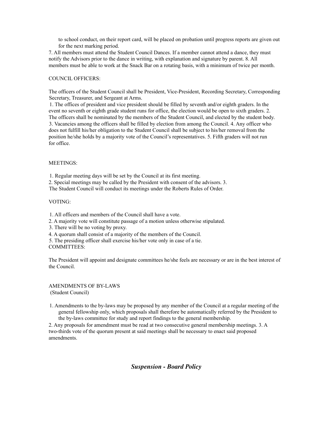to school conduct, on their report card, will be placed on probation until progress reports are given out for the next marking period.

7. All members must attend the Student Council Dances. If a member cannot attend a dance, they must notify the Advisors prior to the dance in writing, with explanation and signature by parent. 8. All members must be able to work at the Snack Bar on a rotating basis, with a minimum of twice per month.

#### COUNCIL OFFICERS:

The officers of the Student Council shall be President, Vice-President, Recording Secretary, Corresponding Secretary, Treasurer, and Sergeant at Arms.

1. The offices of president and vice president should be filled by seventh and/or eighth graders. In the event no seventh or eighth grade student runs for office, the election would be open to sixth graders. 2. The officers shall be nominated by the members of the Student Council, and elected by the student body. 3. Vacancies among the officers shall be filled by election from among the Council. 4. Any officer who does not fulfill his/her obligation to the Student Council shall be subject to his/her removal from the position he/she holds by a majority vote of the Council's representatives. 5. Fifth graders will not run for office.

#### MEETINGS:

1. Regular meeting days will be set by the Council at its first meeting.

2. Special meetings may be called by the President with consent of the advisors. 3.

The Student Council will conduct its meetings under the Roberts Rules of Order.

#### VOTING:

1. All officers and members of the Council shall have a vote.

2. A majority vote will constitute passage of a motion unless otherwise stipulated.

3. There will be no voting by proxy.

4. A quorum shall consist of a majority of the members of the Council.

5. The presiding officer shall exercise his/her vote only in case of a tie. COMMITTEES:

The President will appoint and designate committees he/she feels are necessary or are in the best interest of the Council.

AMENDMENTS OF BY-LAWS (Student Council)

1. Amendments to the by-laws may be proposed by any member of the Council at a regular meeting of the general fellowship only, which proposals shall therefore be automatically referred by the President to the by-laws committee for study and report findings to the general membership.

2. Any proposals for amendment must be read at two consecutive general membership meetings. 3. A two-thirds vote of the quorum present at said meetings shall be necessary to enact said proposed amendments.

## *Suspension - Board Policy*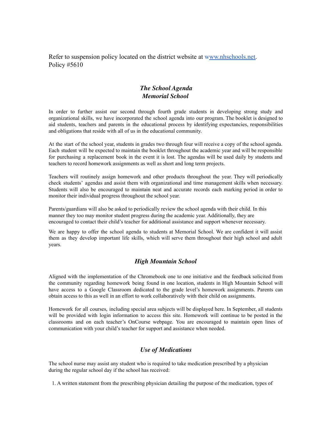Refer to suspension policy located on the district website at www.nhschools.net. Policy #5610

# *The School Agenda Memorial School*

In order to further assist our second through fourth grade students in developing strong study and organizational skills, we have incorporated the school agenda into our program. The booklet is designed to aid students, teachers and parents in the educational process by identifying expectancies, responsibilities and obligations that reside with all of us in the educational community.

At the start of the school year, students in grades two through four will receive a copy of the school agenda. Each student will be expected to maintain the booklet throughout the academic year and will be responsible for purchasing a replacement book in the event it is lost. The agendas will be used daily by students and teachers to record homework assignments as well as short and long term projects.

Teachers will routinely assign homework and other products throughout the year. They will periodically check students' agendas and assist them with organizational and time management skills when necessary. Students will also be encouraged to maintain neat and accurate records each marking period in order to monitor their individual progress throughout the school year.

Parents/guardians will also be asked to periodically review the school agenda with their child. In this manner they too may monitor student progress during the academic year. Additionally, they are encouraged to contact their child's teacher for additional assistance and support whenever necessary.

We are happy to offer the school agenda to students at Memorial School. We are confident it will assist them as they develop important life skills, which will serve them throughout their high school and adult years.

# *High Mountain School*

Aligned with the implementation of the Chromebook one to one initiative and the feedback solicited from the community regarding homework being found in one location, students in High Mountain School will have access to a Google Classroom dedicated to the grade level's homework assignments. Parents can obtain access to this as well in an effort to work collaboratively with their child on assignments.

Homework for all courses, including special area subjects will be displayed here. In September, all students will be provided with login information to access this site. Homework will continue to be posted in the classrooms and on each teacher's OnCourse webpage. You are encouraged to maintain open lines of communication with your child's teacher for support and assistance when needed.

# *Use of Medications*

The school nurse may assist any student who is required to take medication prescribed by a physician during the regular school day if the school has received:

1. A written statement from the prescribing physician detailing the purpose of the medication, types of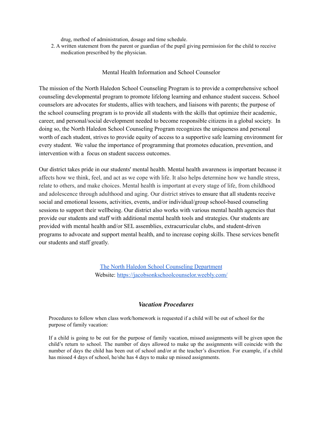drug, method of administration, dosage and time schedule.

2. A written statement from the parent or guardian of the pupil giving permission for the child to receive medication prescribed by the physician.

## Mental Health Information and School Counselor

The mission of the North Haledon School Counseling Program is to provide a comprehensive school counseling developmental program to promote lifelong learning and enhance student success. School counselors are advocates for students, allies with teachers, and liaisons with parents; the purpose of the school counseling program is to provide all students with the skills that optimize their academic, career, and personal/social development needed to become responsible citizens in a global society. In doing so, the North Haledon School Counseling Program recognizes the uniqueness and personal worth of each student, strives to provide equity of access to a supportive safe learning environment for every student. We value the importance of programming that promotes education, prevention, and intervention with a focus on student success outcomes.

Our district takes pride in our students' mental health. Mental health awareness is important because it affects how we think, feel, and act as we cope with life. It also helps determine how we handle stress, relate to others, and make choices. Mental health is important at every stage of life, from childhood and adolescence through adulthood and aging. Our district strives to ensure that all students receive social and emotional lessons, activities, events, and/or individual/group school-based counseling sessions to support their wellbeing. Our district also works with various mental health agencies that provide our students and staff with additional mental health tools and strategies. Our students are provided with mental health and/or SEL assemblies, extracurricular clubs, and student-driven programs to advocate and support mental health, and to increase coping skills. These services benefit our students and staff greatly.

> The North Haledon School Counseling [Department](https://docs.google.com/document/d/1NMq8BwMhuDc9nWs1cmXmALDIw2LrlYNd2My7J--Fog0/edit?usp=sharing) Website: <https://jacobsonkschoolcounselor.weebly.com/>

## *Vacation Procedures*

Procedures to follow when class work/homework is requested if a child will be out of school for the purpose of family vacation:

If a child is going to be out for the purpose of family vacation, missed assignments will be given upon the child's return to school. The number of days allowed to make up the assignments will coincide with the number of days the child has been out of school and/or at the teacher's discretion. For example, if a child has missed 4 days of school, he/she has 4 days to make up missed assignments.